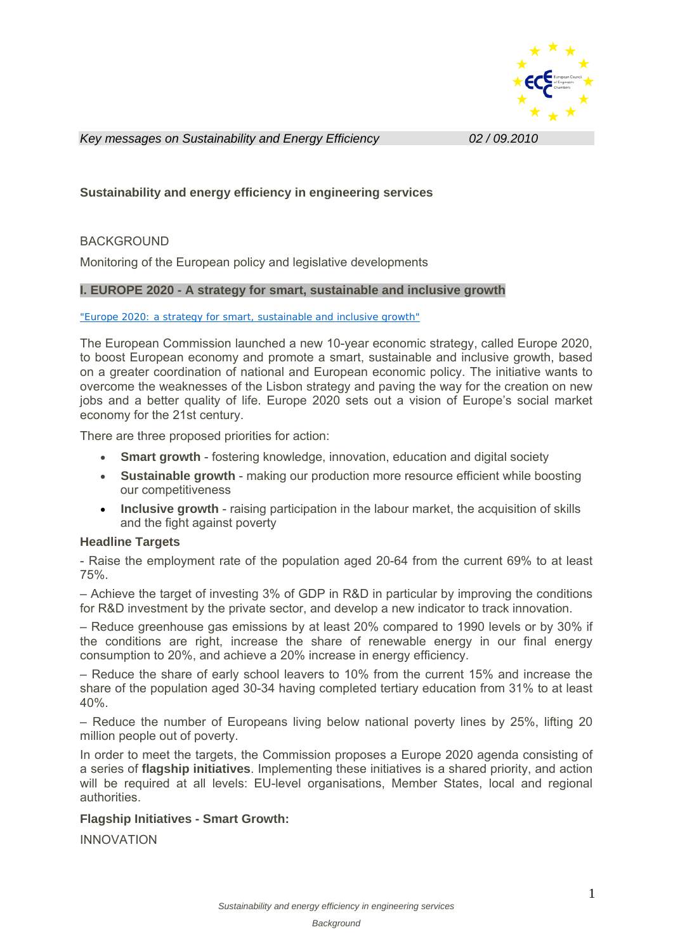

*Key messages on Sustainability and Energy Efficiency**02 / 09.2010* 

# **Sustainability and energy efficiency in engineering services**

# BACKGROUND

Monitoring of the European policy and legislative developments

## **I. EUROPE 2020 - A strategy for smart, sustainable and inclusive growth**

#### "Europe 2020: a strategy for smart, sustainable and inclusive growth"

The European Commission launched a new 10-year economic strategy, called Europe 2020, to boost European economy and promote a smart, sustainable and inclusive growth, based on a greater coordination of national and European economic policy. The initiative wants to overcome the weaknesses of the Lisbon strategy and paving the way for the creation on new jobs and a better quality of life. Europe 2020 sets out a vision of Europe's social market economy for the 21st century.

There are three proposed priorities for action:

- **Smart growth**  fostering knowledge, innovation, education and digital society
- **Sustainable growth** making our production more resource efficient while boosting our competitiveness
- **Inclusive growth** raising participation in the labour market, the acquisition of skills and the fight against poverty

### **Headline Targets**

- Raise the employment rate of the population aged 20-64 from the current 69% to at least 75%.

– Achieve the target of investing 3% of GDP in R&D in particular by improving the conditions for R&D investment by the private sector, and develop a new indicator to track innovation.

– Reduce greenhouse gas emissions by at least 20% compared to 1990 levels or by 30% if the conditions are right, increase the share of renewable energy in our final energy consumption to 20%, and achieve a 20% increase in energy efficiency.

– Reduce the share of early school leavers to 10% from the current 15% and increase the share of the population aged 30-34 having completed tertiary education from 31% to at least 40%.

– Reduce the number of Europeans living below national poverty lines by 25%, lifting 20 million people out of poverty.

In order to meet the targets, the Commission proposes a Europe 2020 agenda consisting of a series of **flagship initiatives**. Implementing these initiatives is a shared priority, and action will be required at all levels: EU-level organisations, Member States, local and regional authorities.

# **Flagship Initiatives - Smart Growth:**

INNOVATION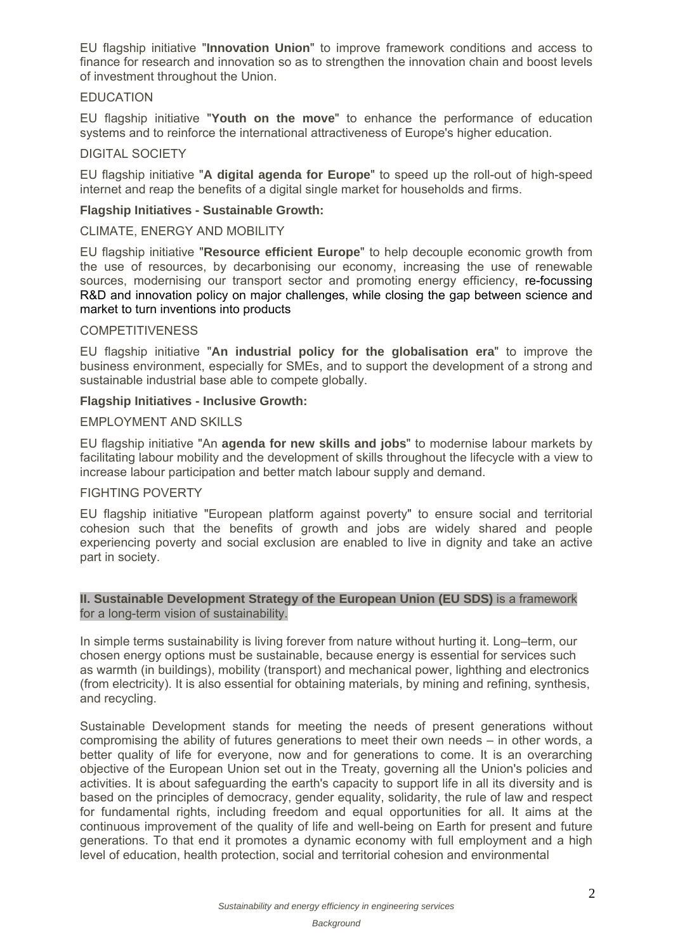EU flagship initiative "**Innovation Union**" to improve framework conditions and access to finance for research and innovation so as to strengthen the innovation chain and boost levels of investment throughout the Union.

# EDUCATION

EU flagship initiative "**Youth on the move**" to enhance the performance of education systems and to reinforce the international attractiveness of Europe's higher education.

## DIGITAL SOCIETY

EU flagship initiative "**A digital agenda for Europe**" to speed up the roll-out of high-speed internet and reap the benefits of a digital single market for households and firms.

## **Flagship Initiatives - Sustainable Growth:**

CLIMATE, ENERGY AND MOBILITY

EU flagship initiative "**Resource efficient Europe**" to help decouple economic growth from the use of resources, by decarbonising our economy, increasing the use of renewable sources, modernising our transport sector and promoting energy efficiency, re-focussing R&D and innovation policy on major challenges, while closing the gap between science and market to turn inventions into products

### **COMPETITIVENESS**

EU flagship initiative "**An industrial policy for the globalisation era**" to improve the business environment, especially for SMEs, and to support the development of a strong and sustainable industrial base able to compete globally.

### **Flagship Initiatives - Inclusive Growth:**

## EMPLOYMENT AND SKILLS

EU flagship initiative "An **agenda for new skills and jobs**" to modernise labour markets by facilitating labour mobility and the development of skills throughout the lifecycle with a view to increase labour participation and better match labour supply and demand.

# FIGHTING POVERTY

EU flagship initiative "European platform against poverty" to ensure social and territorial cohesion such that the benefits of growth and jobs are widely shared and people experiencing poverty and social exclusion are enabled to live in dignity and take an active part in society.

## **II. Sustainable Development Strategy of the European Union (EU SDS)** is a framework for a long-term vision of sustainability.

In simple terms sustainability is living forever from nature without hurting it. Long–term, our chosen energy options must be sustainable, because energy is essential for services such as warmth (in buildings), mobility (transport) and mechanical power, lighthing and electronics (from electricity). It is also essential for obtaining materials, by mining and refining, synthesis, and recycling.

Sustainable Development stands for meeting the needs of present generations without compromising the ability of futures generations to meet their own needs – in other words, a better quality of life for everyone, now and for generations to come. It is an overarching objective of the European Union set out in the Treaty, governing all the Union's policies and activities. It is about safeguarding the earth's capacity to support life in all its diversity and is based on the principles of democracy, gender equality, solidarity, the rule of law and respect for fundamental rights, including freedom and equal opportunities for all. It aims at the continuous improvement of the quality of life and well-being on Earth for present and future generations. To that end it promotes a dynamic economy with full employment and a high level of education, health protection, social and territorial cohesion and environmental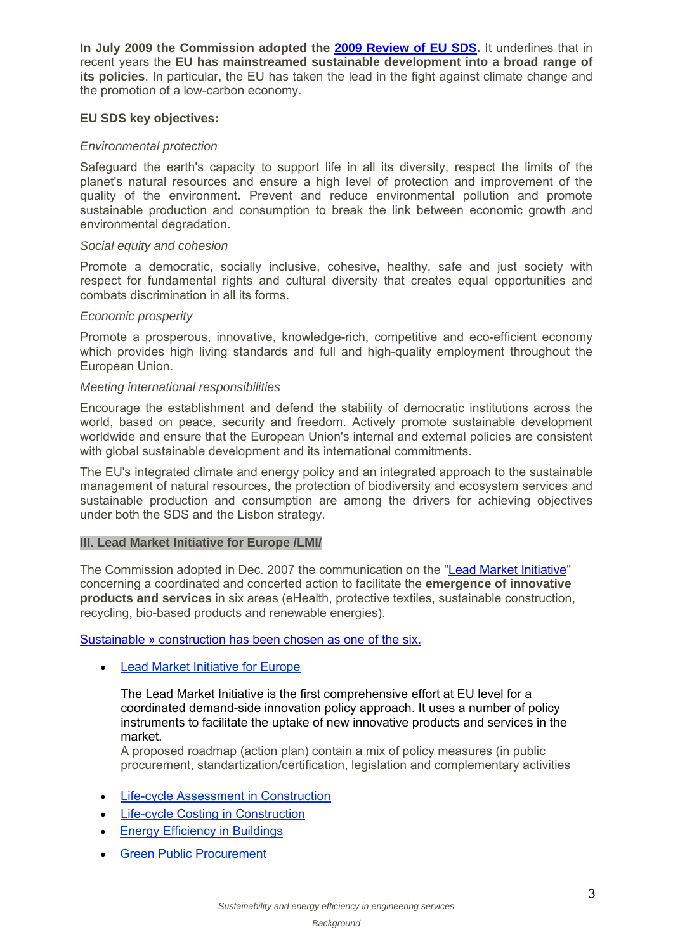**In July 2009 the Commission adopted the 2009 Review of EU SDS.** It underlines that in recent years the **EU has mainstreamed sustainable development into a broad range of its policies**. In particular, the EU has taken the lead in the fight against climate change and the promotion of a low-carbon economy.

## **EU SDS key objectives:**

## *Environmental protection*

Safeguard the earth's capacity to support life in all its diversity, respect the limits of the planet's natural resources and ensure a high level of protection and improvement of the quality of the environment. Prevent and reduce environmental pollution and promote sustainable production and consumption to break the link between economic growth and environmental degradation.

### *Social equity and cohesion*

Promote a democratic, socially inclusive, cohesive, healthy, safe and just society with respect for fundamental rights and cultural diversity that creates equal opportunities and combats discrimination in all its forms.

### *Economic prosperity*

Promote a prosperous, innovative, knowledge-rich, competitive and eco-efficient economy which provides high living standards and full and high-quality employment throughout the European Union.

## *Meeting international responsibilities*

Encourage the establishment and defend the stability of democratic institutions across the world, based on peace, security and freedom. Actively promote sustainable development worldwide and ensure that the European Union's internal and external policies are consistent with global sustainable development and its international commitments.

The EU's integrated climate and energy policy and an integrated approach to the sustainable management of natural resources, the protection of biodiversity and ecosystem services and sustainable production and consumption are among the drivers for achieving objectives under both the SDS and the Lisbon strategy.

# **III. Lead Market Initiative for Europe /LMI/**

The Commission adopted in Dec. 2007 the communication on the "Lead Market Initiative" concerning a coordinated and concerted action to facilitate the **emergence of innovative products and services** in six areas (eHealth, protective textiles, sustainable construction, recycling, bio-based products and renewable energies).

## Sustainable » construction has been chosen as one of the six.

Lead Market Initiative for Europe

The Lead Market Initiative is the first comprehensive effort at EU level for a coordinated demand-side innovation policy approach. It uses a number of policy instruments to facilitate the uptake of new innovative products and services in the market.

A proposed roadmap (action plan) contain a mix of policy measures (in public procurement, standartization/certification, legislation and complementary activities

- **•** Life-cycle Assessment in Construction
- Life-cycle Costing in Construction
- Energy Efficiency in Buildings
- Green Public Procurement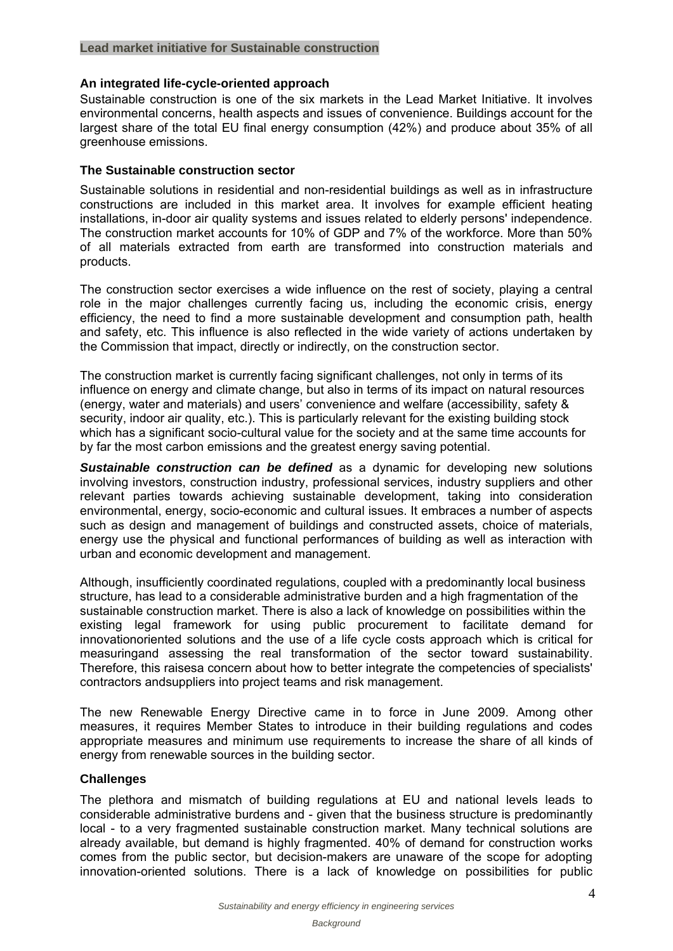### **Lead market initiative for Sustainable construction**

## **An integrated life-cycle-oriented approach**

Sustainable construction is one of the six markets in the Lead Market Initiative. It involves environmental concerns, health aspects and issues of convenience. Buildings account for the largest share of the total EU final energy consumption (42%) and produce about 35% of all greenhouse emissions.

## **The Sustainable construction sector**

Sustainable solutions in residential and non-residential buildings as well as in infrastructure constructions are included in this market area. It involves for example efficient heating installations, in-door air quality systems and issues related to elderly persons' independence. The construction market accounts for 10% of GDP and 7% of the workforce. More than 50% of all materials extracted from earth are transformed into construction materials and products.

The construction sector exercises a wide influence on the rest of society, playing a central role in the major challenges currently facing us, including the economic crisis, energy efficiency, the need to find a more sustainable development and consumption path, health and safety, etc. This influence is also reflected in the wide variety of actions undertaken by the Commission that impact, directly or indirectly, on the construction sector.

The construction market is currently facing significant challenges, not only in terms of its influence on energy and climate change, but also in terms of its impact on natural resources (energy, water and materials) and users' convenience and welfare (accessibility, safety & security, indoor air quality, etc.). This is particularly relevant for the existing building stock which has a significant socio-cultural value for the society and at the same time accounts for by far the most carbon emissions and the greatest energy saving potential.

*Sustainable construction can be defined* as a dynamic for developing new solutions involving investors, construction industry, professional services, industry suppliers and other relevant parties towards achieving sustainable development, taking into consideration environmental, energy, socio-economic and cultural issues. It embraces a number of aspects such as design and management of buildings and constructed assets, choice of materials, energy use the physical and functional performances of building as well as interaction with urban and economic development and management.

Although, insufficiently coordinated regulations, coupled with a predominantly local business structure, has lead to a considerable administrative burden and a high fragmentation of the sustainable construction market. There is also a lack of knowledge on possibilities within the existing legal framework for using public procurement to facilitate demand for innovationoriented solutions and the use of a life cycle costs approach which is critical for measuringand assessing the real transformation of the sector toward sustainability. Therefore, this raisesa concern about how to better integrate the competencies of specialists' contractors andsuppliers into project teams and risk management.

The new Renewable Energy Directive came in to force in June 2009. Among other measures, it requires Member States to introduce in their building regulations and codes appropriate measures and minimum use requirements to increase the share of all kinds of energy from renewable sources in the building sector.

# **Challenges**

The plethora and mismatch of building regulations at EU and national levels leads to considerable administrative burdens and - given that the business structure is predominantly local - to a very fragmented sustainable construction market. Many technical solutions are already available, but demand is highly fragmented. 40% of demand for construction works comes from the public sector, but decision-makers are unaware of the scope for adopting innovation-oriented solutions. There is a lack of knowledge on possibilities for public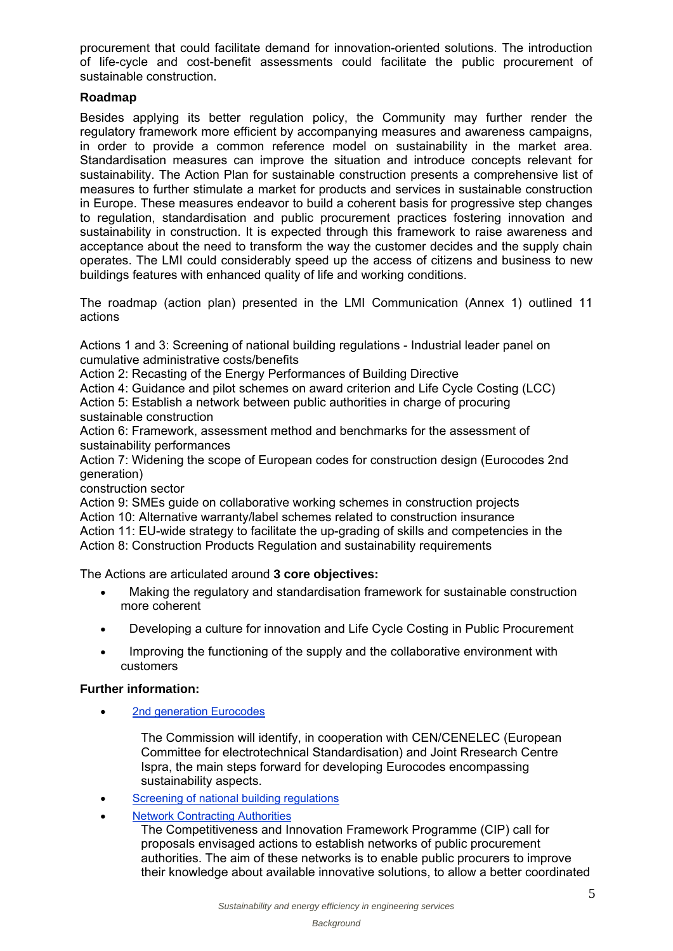procurement that could facilitate demand for innovation-oriented solutions. The introduction of life-cycle and cost-benefit assessments could facilitate the public procurement of sustainable construction.

# **Roadmap**

Besides applying its better regulation policy, the Community may further render the regulatory framework more efficient by accompanying measures and awareness campaigns, in order to provide a common reference model on sustainability in the market area. Standardisation measures can improve the situation and introduce concepts relevant for sustainability. The Action Plan for sustainable construction presents a comprehensive list of measures to further stimulate a market for products and services in sustainable construction in Europe. These measures endeavor to build a coherent basis for progressive step changes to regulation, standardisation and public procurement practices fostering innovation and sustainability in construction. It is expected through this framework to raise awareness and acceptance about the need to transform the way the customer decides and the supply chain operates. The LMI could considerably speed up the access of citizens and business to new buildings features with enhanced quality of life and working conditions.

The roadmap (action plan) presented in the LMI Communication (Annex 1) outlined 11 actions

Actions 1 and 3: Screening of national building regulations - Industrial leader panel on cumulative administrative costs/benefits

Action 2: Recasting of the Energy Performances of Building Directive

Action 4: Guidance and pilot schemes on award criterion and Life Cycle Costing (LCC) Action 5: Establish a network between public authorities in charge of procuring sustainable construction

Action 6: Framework, assessment method and benchmarks for the assessment of sustainability performances

Action 7: Widening the scope of European codes for construction design (Eurocodes 2nd generation)

construction sector

Action 9: SMEs guide on collaborative working schemes in construction projects Action 10: Alternative warranty/label schemes related to construction insurance Action 11: EU-wide strategy to facilitate the up-grading of skills and competencies in the Action 8: Construction Products Regulation and sustainability requirements

The Actions are articulated around **3 core objectives:**

- Making the regulatory and standardisation framework for sustainable construction more coherent
- Developing a culture for innovation and Life Cycle Costing in Public Procurement
- Improving the functioning of the supply and the collaborative environment with customers

# **Further information:**

• 2nd generation Eurocodes

The Commission will identify, in cooperation with CEN/CENELEC (European Committee for electrotechnical Standardisation) and Joint Rresearch Centre Ispra, the main steps forward for developing Eurocodes encompassing sustainability aspects.

- Screening of national building regulations
- Network Contracting Authorities

The Competitiveness and Innovation Framework Programme (CIP) call for proposals envisaged actions to establish networks of public procurement authorities. The aim of these networks is to enable public procurers to improve their knowledge about available innovative solutions, to allow a better coordinated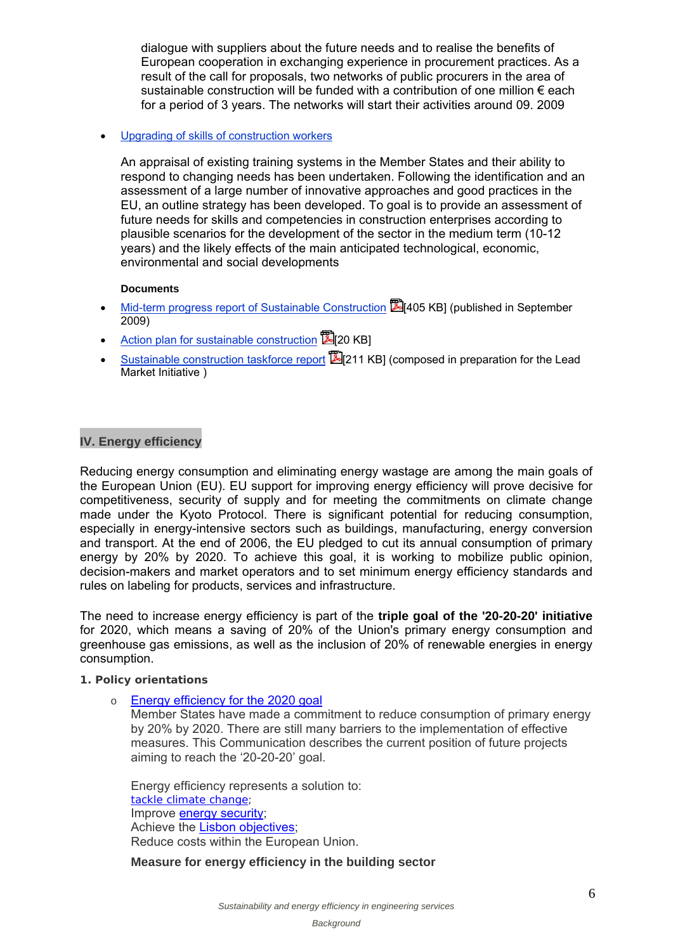dialogue with suppliers about the future needs and to realise the benefits of European cooperation in exchanging experience in procurement practices. As a result of the call for proposals, two networks of public procurers in the area of sustainable construction will be funded with a contribution of one million  $\epsilon$  each for a period of 3 years. The networks will start their activities around 09. 2009

## Upgrading of skills of construction workers

An appraisal of existing training systems in the Member States and their ability to respond to changing needs has been undertaken. Following the identification and an assessment of a large number of innovative approaches and good practices in the EU, an outline strategy has been developed. To goal is to provide an assessment of future needs for skills and competencies in construction enterprises according to plausible scenarios for the development of the sector in the medium term (10-12 years) and the likely effects of the main anticipated technological, economic, environmental and social developments

### **Documents**

- Mid-term progress report of Sustainable Construction [405 KB] (published in September 2009)
- Action plan for sustainable construction  $\mathbb{Z}$  20 KB1
- Sustainable construction taskforce report [211 KB] (composed in preparation for the Lead Market Initiative )

# **IV. Energy efficiency**

Reducing energy consumption and eliminating energy wastage are among the main goals of the European Union (EU). EU support for improving energy efficiency will prove decisive for competitiveness, security of supply and for meeting the commitments on climate change made under the Kyoto Protocol. There is significant potential for reducing consumption, especially in energy-intensive sectors such as buildings, manufacturing, energy conversion and transport. At the end of 2006, the EU pledged to cut its annual consumption of primary energy by 20% by 2020. To achieve this goal, it is working to mobilize public opinion, decision-makers and market operators and to set minimum energy efficiency standards and rules on labeling for products, services and infrastructure.

The need to increase energy efficiency is part of the **triple goal of the '20-20-20' initiative** for 2020, which means a saving of 20% of the Union's primary energy consumption and greenhouse gas emissions, as well as the inclusion of 20% of renewable energies in energy consumption.

### **1. Policy orientations**

o Energy efficiency for the 2020 goal

Member States have made a commitment to reduce consumption of primary energy by 20% by 2020. There are still many barriers to the implementation of effective measures. This Communication describes the current position of future projects aiming to reach the '20-20-20' goal.

Energy efficiency represents a solution to: tackle climate change; Improve energy security; Achieve the Lisbon objectives: Reduce costs within the European Union.

# **Measure for energy efficiency in the building sector**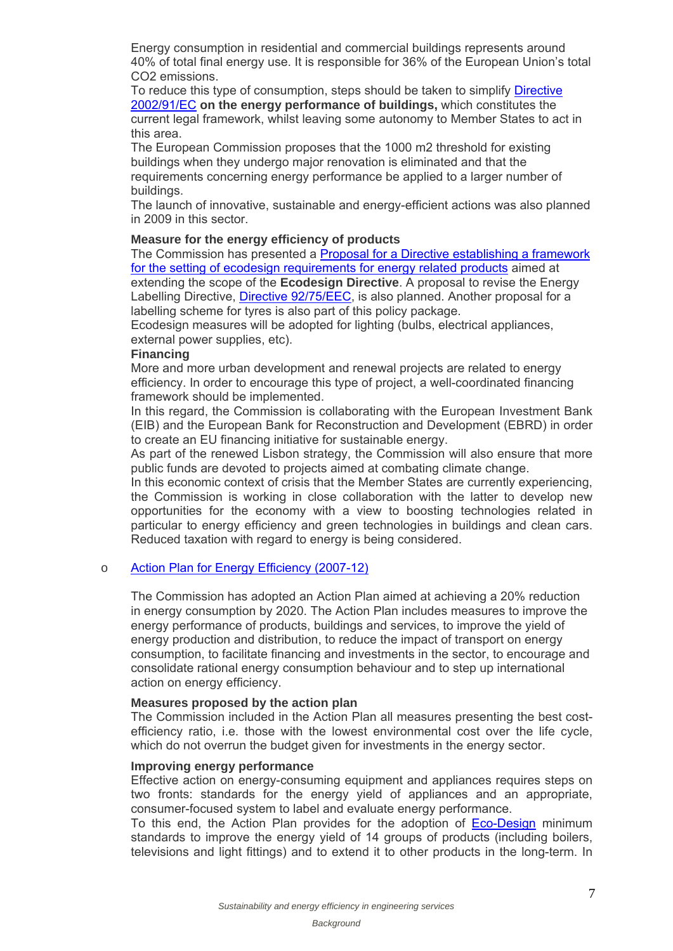Energy consumption in residential and commercial buildings represents around 40% of total final energy use. It is responsible for 36% of the European Union's total CO2 emissions.

To reduce this type of consumption, steps should be taken to simplify Directive 2002/91/EC **on the energy performance of buildings,** which constitutes the current legal framework, whilst leaving some autonomy to Member States to act in this area.

The European Commission proposes that the 1000 m2 threshold for existing buildings when they undergo major renovation is eliminated and that the requirements concerning energy performance be applied to a larger number of buildings.

The launch of innovative, sustainable and energy-efficient actions was also planned in 2009 in this sector.

### **Measure for the energy efficiency of products**

The Commission has presented a **Proposal for a Directive establishing a framework** for the setting of ecodesign requirements for energy related products aimed at extending the scope of the **Ecodesign Directive**. A proposal to revise the Energy Labelling Directive, Directive 92/75/EEC, is also planned. Another proposal for a labelling scheme for tyres is also part of this policy package.

Ecodesign measures will be adopted for lighting (bulbs, electrical appliances, external power supplies, etc).

#### **Financing**

More and more urban development and renewal projects are related to energy efficiency. In order to encourage this type of project, a well-coordinated financing framework should be implemented.

In this regard, the Commission is collaborating with the European Investment Bank (EIB) and the European Bank for Reconstruction and Development (EBRD) in order to create an EU financing initiative for sustainable energy.

As part of the renewed Lisbon strategy, the Commission will also ensure that more public funds are devoted to projects aimed at combating climate change.

In this economic context of crisis that the Member States are currently experiencing, the Commission is working in close collaboration with the latter to develop new opportunities for the economy with a view to boosting technologies related in particular to energy efficiency and green technologies in buildings and clean cars. Reduced taxation with regard to energy is being considered.

### o Action Plan for Energy Efficiency (2007-12)

The Commission has adopted an Action Plan aimed at achieving a 20% reduction in energy consumption by 2020. The Action Plan includes measures to improve the energy performance of products, buildings and services, to improve the yield of energy production and distribution, to reduce the impact of transport on energy consumption, to facilitate financing and investments in the sector, to encourage and consolidate rational energy consumption behaviour and to step up international action on energy efficiency.

## **Measures proposed by the action plan**

The Commission included in the Action Plan all measures presenting the best costefficiency ratio, i.e. those with the lowest environmental cost over the life cycle, which do not overrun the budget given for investments in the energy sector.

### **Improving energy performance**

Effective action on energy-consuming equipment and appliances requires steps on two fronts: standards for the energy yield of appliances and an appropriate, consumer-focused system to label and evaluate energy performance.

To this end, the Action Plan provides for the adoption of Eco-Design minimum standards to improve the energy yield of 14 groups of products (including boilers, televisions and light fittings) and to extend it to other products in the long-term. In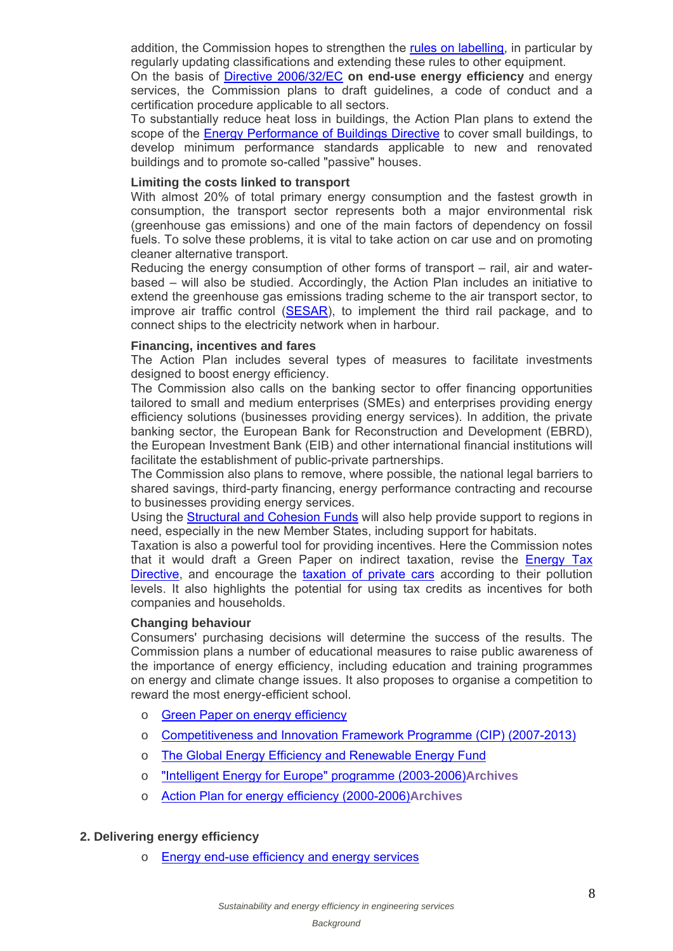addition, the Commission hopes to strengthen the rules on labelling, in particular by regularly updating classifications and extending these rules to other equipment.

On the basis of Directive 2006/32/EC **on end-use energy efficiency** and energy services, the Commission plans to draft guidelines, a code of conduct and a certification procedure applicable to all sectors.

To substantially reduce heat loss in buildings, the Action Plan plans to extend the scope of the Energy Performance of Buildings Directive to cover small buildings, to develop minimum performance standards applicable to new and renovated buildings and to promote so-called "passive" houses.

## **Limiting the costs linked to transport**

With almost 20% of total primary energy consumption and the fastest growth in consumption, the transport sector represents both a major environmental risk (greenhouse gas emissions) and one of the main factors of dependency on fossil fuels. To solve these problems, it is vital to take action on car use and on promoting cleaner alternative transport.

Reducing the energy consumption of other forms of transport – rail, air and waterbased – will also be studied. Accordingly, the Action Plan includes an initiative to extend the greenhouse gas emissions trading scheme to the air transport sector, to improve air traffic control (SESAR), to implement the third rail package, and to connect ships to the electricity network when in harbour.

## **Financing, incentives and fares**

The Action Plan includes several types of measures to facilitate investments designed to boost energy efficiency.

The Commission also calls on the banking sector to offer financing opportunities tailored to small and medium enterprises (SMEs) and enterprises providing energy efficiency solutions (businesses providing energy services). In addition, the private banking sector, the European Bank for Reconstruction and Development (EBRD), the European Investment Bank (EIB) and other international financial institutions will facilitate the establishment of public-private partnerships.

The Commission also plans to remove, where possible, the national legal barriers to shared savings, third-party financing, energy performance contracting and recourse to businesses providing energy services.

Using the Structural and Cohesion Funds will also help provide support to regions in need, especially in the new Member States, including support for habitats.

Taxation is also a powerful tool for providing incentives. Here the Commission notes that it would draft a Green Paper on indirect taxation, revise the **Energy Tax** Directive, and encourage the taxation of private cars according to their pollution levels. It also highlights the potential for using tax credits as incentives for both companies and households.

# **Changing behaviour**

Consumers' purchasing decisions will determine the success of the results. The Commission plans a number of educational measures to raise public awareness of the importance of energy efficiency, including education and training programmes on energy and climate change issues. It also proposes to organise a competition to reward the most energy-efficient school.

- o Green Paper on energy efficiency
- o Competitiveness and Innovation Framework Programme (CIP) (2007-2013)
- o The Global Energy Efficiency and Renewable Energy Fund
- o "Intelligent Energy for Europe" programme (2003-2006)**Archives**
- o Action Plan for energy efficiency (2000-2006)**Archives**

### **2. Delivering energy efficiency**

o Energy end-use efficiency and energy services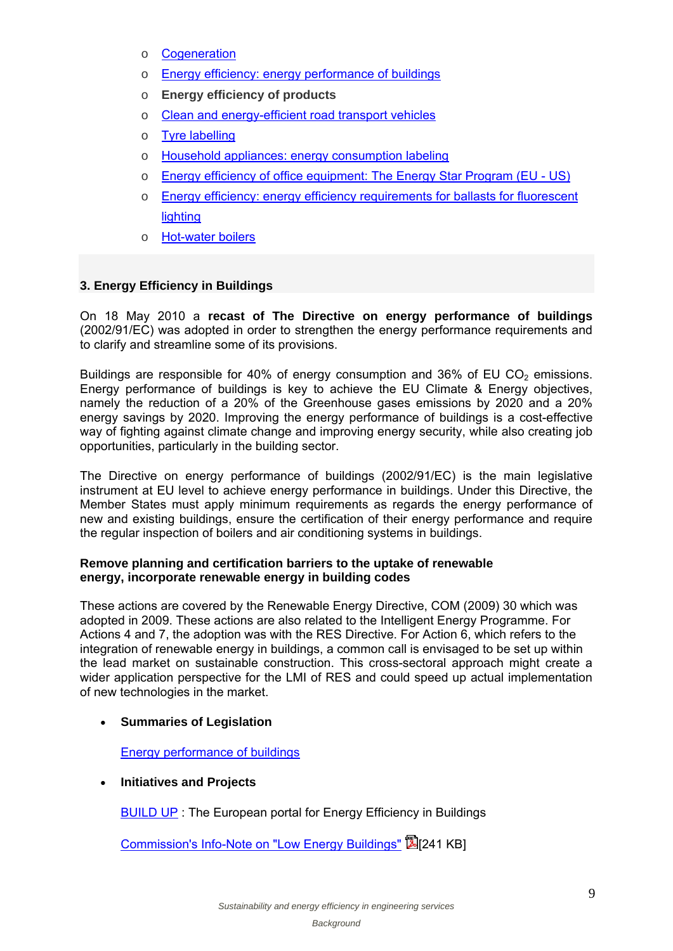- o Cogeneration
- o Energy efficiency: energy performance of buildings
- o **Energy efficiency of products**
- o Clean and energy-efficient road transport vehicles
- o Tyre labelling
- o Household appliances: energy consumption labeling
- o Energy efficiency of office equipment: The Energy Star Program (EU US)
- o Energy efficiency: energy efficiency requirements for ballasts for fluorescent lighting
- o Hot-water boilers

## **3. Energy Efficiency in Buildings**

On 18 May 2010 a **recast of The Directive on energy performance of buildings** (2002/91/EC) was adopted in order to strengthen the energy performance requirements and to clarify and streamline some of its provisions.

Buildings are responsible for 40% of energy consumption and 36% of EU CO<sub>2</sub> emissions. Energy performance of buildings is key to achieve the EU Climate & Energy objectives, namely the reduction of a 20% of the Greenhouse gases emissions by 2020 and a 20% energy savings by 2020. Improving the energy performance of buildings is a cost-effective way of fighting against climate change and improving energy security, while also creating job opportunities, particularly in the building sector.

The Directive on energy performance of buildings (2002/91/EC) is the main legislative instrument at EU level to achieve energy performance in buildings. Under this Directive, the Member States must apply minimum requirements as regards the energy performance of new and existing buildings, ensure the certification of their energy performance and require the regular inspection of boilers and air conditioning systems in buildings.

## **Remove planning and certification barriers to the uptake of renewable energy, incorporate renewable energy in building codes**

These actions are covered by the Renewable Energy Directive, COM (2009) 30 which was adopted in 2009. These actions are also related to the Intelligent Energy Programme. For Actions 4 and 7, the adoption was with the RES Directive. For Action 6, which refers to the integration of renewable energy in buildings, a common call is envisaged to be set up within the lead market on sustainable construction. This cross-sectoral approach might create a wider application perspective for the LMI of RES and could speed up actual implementation of new technologies in the market.

# **Summaries of Legislation**

Energy performance of buildings

### **Initiatives and Projects**

BUILD UP : The European portal for Energy Efficiency in Buildings

Commission's Info-Note on "Low Energy Buildings" [241 KB]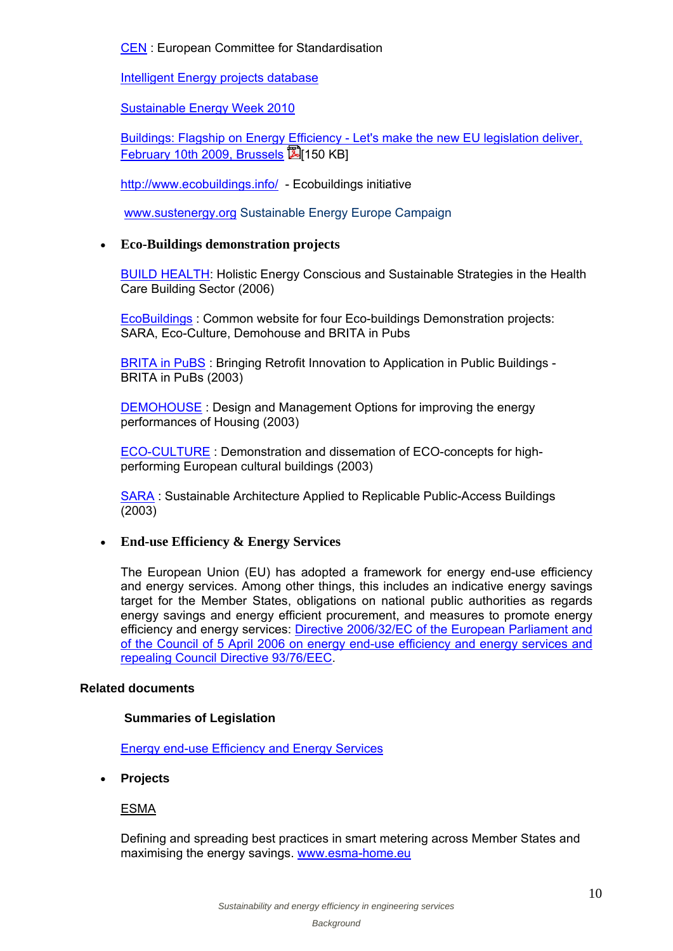# CEN : European Committee for Standardisation

Intelligent Energy projects database

Sustainable Energy Week 2010

Buildings: Flagship on Energy Efficiency - Let's make the new EU legislation deliver, February 10th 2009, Brussels 2150 KBI

http://www.ecobuildings.info/ - Ecobuildings initiative

www.sustenergy.org Sustainable Energy Europe Campaign

# **Eco-Buildings demonstration projects**

BUILD HEALTH: Holistic Energy Conscious and Sustainable Strategies in the Health Care Building Sector (2006)

EcoBuildings : Common website for four Eco-buildings Demonstration projects: SARA, Eco-Culture, Demohouse and BRITA in Pubs

**BRITA in PuBS** : Bringing Retrofit Innovation to Application in Public Buildings -BRITA in PuBs (2003)

DEMOHOUSE : Design and Management Options for improving the energy performances of Housing (2003)

ECO-CULTURE : Demonstration and dissemation of ECO-concepts for highperforming European cultural buildings (2003)

SARA : Sustainable Architecture Applied to Replicable Public-Access Buildings (2003)

# **End-use Efficiency & Energy Services**

The European Union (EU) has adopted a framework for energy end-use efficiency and energy services. Among other things, this includes an indicative energy savings target for the Member States, obligations on national public authorities as regards energy savings and energy efficient procurement, and measures to promote energy efficiency and energy services: Directive 2006/32/EC of the European Parliament and of the Council of 5 April 2006 on energy end-use efficiency and energy services and repealing Council Directive 93/76/EEC.

# **Related documents**

# **Summaries of Legislation**

Energy end-use Efficiency and Energy Services

**Projects**

ESMA

Defining and spreading best practices in smart metering across Member States and maximising the energy savings. www.esma-home.eu